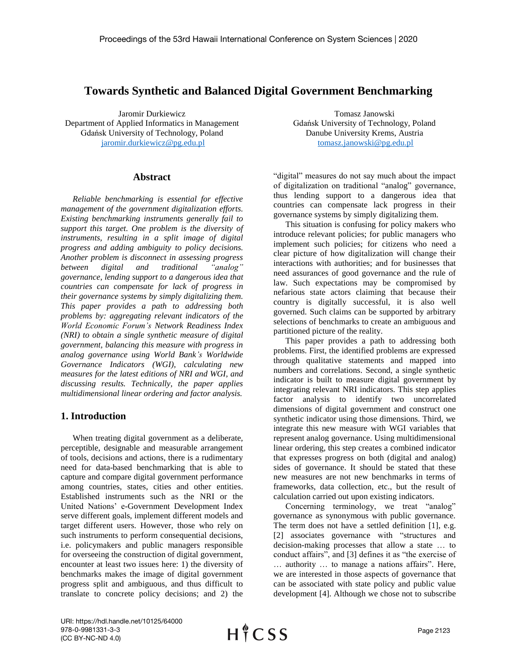# **Towards Synthetic and Balanced Digital Government Benchmarking**

Jaromir Durkiewicz Department of Applied Informatics in Management Gdańsk University of Technology, Poland [jaromir.durkiewicz@pg.edu.pl](mailto:jaromir.durkiewicz@pg.edu.pl)

#### **Abstract**

*Reliable benchmarking is essential for effective management of the government digitalization efforts. Existing benchmarking instruments generally fail to support this target. One problem is the diversity of instruments, resulting in a split image of digital progress and adding ambiguity to policy decisions. Another problem is disconnect in assessing progress between digital and traditional "analog" governance, lending support to a dangerous idea that countries can compensate for lack of progress in their governance systems by simply digitalizing them. This paper provides a path to addressing both problems by: aggregating relevant indicators of the World Economic Forum's Network Readiness Index (NRI) to obtain a single synthetic measure of digital government, balancing this measure with progress in analog governance using World Bank's Worldwide Governance Indicators (WGI), calculating new measures for the latest editions of NRI and WGI, and discussing results. Technically, the paper applies multidimensional linear ordering and factor analysis.* 

# **1. Introduction**

When treating digital government as a deliberate, perceptible, designable and measurable arrangement of tools, decisions and actions, there is a rudimentary need for data-based benchmarking that is able to capture and compare digital government performance among countries, states, cities and other entities. Established instruments such as the NRI or the United Nations' e-Government Development Index serve different goals, implement different models and target different users. However, those who rely on such instruments to perform consequential decisions, i.e. policymakers and public managers responsible for overseeing the construction of digital government, encounter at least two issues here: 1) the diversity of benchmarks makes the image of digital government progress split and ambiguous, and thus difficult to translate to concrete policy decisions; and 2) the

Tomasz Janowski Gdańsk University of Technology, Poland Danube University Krems, Austria [tomasz.janowski@pg.edu.pl](mailto:tomasz.janowski@pg.edu.pl)

"digital" measures do not say much about the impact of digitalization on traditional "analog" governance, thus lending support to a dangerous idea that countries can compensate lack progress in their governance systems by simply digitalizing them.

This situation is confusing for policy makers who introduce relevant policies; for public managers who implement such policies; for citizens who need a clear picture of how digitalization will change their interactions with authorities; and for businesses that need assurances of good governance and the rule of law. Such expectations may be compromised by nefarious state actors claiming that because their country is digitally successful, it is also well governed. Such claims can be supported by arbitrary selections of benchmarks to create an ambiguous and partitioned picture of the reality.

This paper provides a path to addressing both problems. First, the identified problems are expressed through qualitative statements and mapped into numbers and correlations. Second, a single synthetic indicator is built to measure digital government by integrating relevant NRI indicators. This step applies factor analysis to identify two uncorrelated dimensions of digital government and construct one synthetic indicator using those dimensions. Third, we integrate this new measure with WGI variables that represent analog governance. Using multidimensional linear ordering, this step creates a combined indicator that expresses progress on both (digital and analog) sides of governance. It should be stated that these new measures are not new benchmarks in terms of frameworks, data collection, etc., but the result of calculation carried out upon existing indicators.

Concerning terminology, we treat "analog" governance as synonymous with public governance. The term does not have a settled definition [1], e.g. [2] associates governance with "structures and decision-making processes that allow a state … to conduct affairs", and [3] defines it as "the exercise of … authority … to manage a nations affairs". Here, we are interested in those aspects of governance that can be associated with state policy and public value development [4]. Although we chose not to subscribe

URI: https://hdl.handle.net/10125/64000 978-0-9981331-3-3 (CC BY-NC-ND 4.0)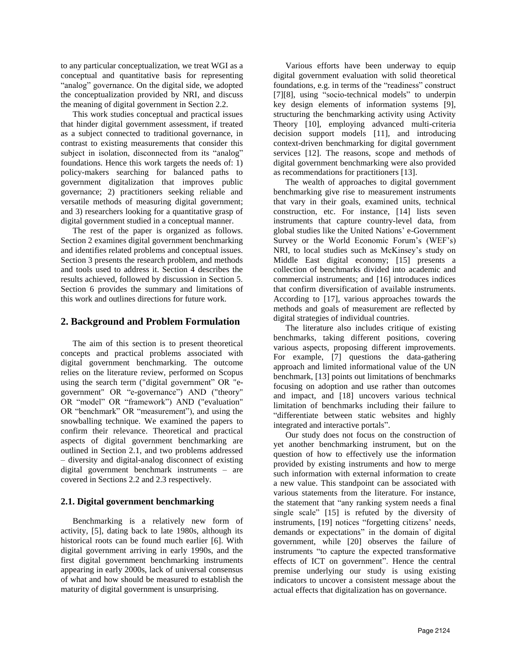to any particular conceptualization, we treat WGI as a conceptual and quantitative basis for representing "analog" governance. On the digital side, we adopted the conceptualization provided by NRI, and discuss the meaning of digital government in Section 2.2.

This work studies conceptual and practical issues that hinder digital government assessment, if treated as a subject connected to traditional governance, in contrast to existing measurements that consider this subject in isolation, disconnected from its "analog" foundations. Hence this work targets the needs of: 1) policy-makers searching for balanced paths to government digitalization that improves public governance; 2) practitioners seeking reliable and versatile methods of measuring digital government; and 3) researchers looking for a quantitative grasp of digital government studied in a conceptual manner.

The rest of the paper is organized as follows. Section 2 examines digital government benchmarking and identifies related problems and conceptual issues. Section 3 presents the research problem, and methods and tools used to address it. Section 4 describes the results achieved, followed by discussion in Section 5. Section 6 provides the summary and limitations of this work and outlines directions for future work.

# **2. Background and Problem Formulation**

The aim of this section is to present theoretical concepts and practical problems associated with digital government benchmarking. The outcome relies on the literature review, performed on Scopus using the search term ("digital government" OR "egovernment" OR "e-governance") AND ("theory" OR "model" OR "framework") AND ("evaluation" OR "benchmark" OR "measurement"), and using the snowballing technique. We examined the papers to confirm their relevance. Theoretical and practical aspects of digital government benchmarking are outlined in Section 2.1, and two problems addressed – diversity and digital-analog disconnect of existing digital government benchmark instruments – are covered in Sections 2.2 and 2.3 respectively.

### **2.1. Digital government benchmarking**

Benchmarking is a relatively new form of activity, [5], dating back to late 1980s, although its historical roots can be found much earlier [6]. With digital government arriving in early 1990s, and the first digital government benchmarking instruments appearing in early 2000s, lack of universal consensus of what and how should be measured to establish the maturity of digital government is unsurprising.

Various efforts have been underway to equip digital government evaluation with solid theoretical foundations, e.g. in terms of the "readiness" construct [7][8], using "socio-technical models" to underpin key design elements of information systems [9], structuring the benchmarking activity using Activity Theory [10], employing advanced multi-criteria decision support models [11], and introducing context-driven benchmarking for digital government services [12]. The reasons, scope and methods of digital government benchmarking were also provided as recommendations for practitioners [13].

The wealth of approaches to digital government benchmarking give rise to measurement instruments that vary in their goals, examined units, technical construction, etc. For instance, [14] lists seven instruments that capture country-level data, from global studies like the United Nations' e-Government Survey or the World Economic Forum's (WEF's) NRI, to local studies such as McKinsey's study on Middle East digital economy; [15] presents a collection of benchmarks divided into academic and commercial instruments; and [16] introduces indices that confirm diversification of available instruments. According to [17], various approaches towards the methods and goals of measurement are reflected by digital strategies of individual countries.

The literature also includes critique of existing benchmarks, taking different positions, covering various aspects, proposing different improvements. For example, [7] questions the data-gathering approach and limited informational value of the UN benchmark, [13] points out limitations of benchmarks focusing on adoption and use rather than outcomes and impact, and [18] uncovers various technical limitation of benchmarks including their failure to "differentiate between static websites and highly integrated and interactive portals".

Our study does not focus on the construction of yet another benchmarking instrument, but on the question of how to effectively use the information provided by existing instruments and how to merge such information with external information to create a new value. This standpoint can be associated with various statements from the literature. For instance, the statement that "any ranking system needs a final single scale" [15] is refuted by the diversity of instruments, [19] notices "forgetting citizens' needs, demands or expectations" in the domain of digital government, while [20] observes the failure of instruments "to capture the expected transformative effects of ICT on government". Hence the central premise underlying our study is using existing indicators to uncover a consistent message about the actual effects that digitalization has on governance.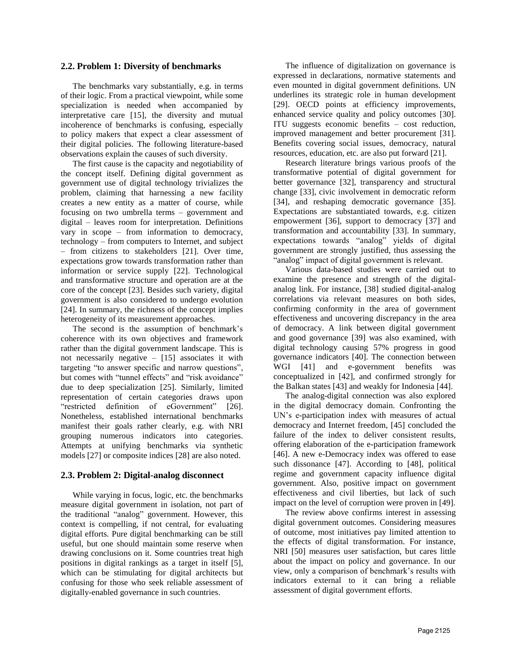#### **2.2. Problem 1: Diversity of benchmarks**

The benchmarks vary substantially, e.g. in terms of their logic. From a practical viewpoint, while some specialization is needed when accompanied by interpretative care [15], the diversity and mutual incoherence of benchmarks is confusing, especially to policy makers that expect a clear assessment of their digital policies. The following literature-based observations explain the causes of such diversity.

The first cause is the capacity and negotiability of the concept itself. Defining digital government as government use of digital technology trivializes the problem, claiming that harnessing a new facility creates a new entity as a matter of course, while focusing on two umbrella terms – government and digital – leaves room for interpretation. Definitions vary in scope – from information to democracy, technology – from computers to Internet, and subject – from citizens to stakeholders [21]. Over time, expectations grow towards transformation rather than information or service supply [22]. Technological and transformative structure and operation are at the core of the concept [23]. Besides such variety, digital government is also considered to undergo evolution [24]. In summary, the richness of the concept implies heterogeneity of its measurement approaches.

The second is the assumption of benchmark's coherence with its own objectives and framework rather than the digital government landscape. This is not necessarily negative – [15] associates it with targeting "to answer specific and narrow questions", but comes with "tunnel effects" and "risk avoidance" due to deep specialization [25]. Similarly, limited representation of certain categories draws upon "restricted definition of eGovernment" [26]. Nonetheless, established international benchmarks manifest their goals rather clearly, e.g. with NRI grouping numerous indicators into categories. Attempts at unifying benchmarks via synthetic models [27] or composite indices [28] are also noted.

### **2.3. Problem 2: Digital-analog disconnect**

While varying in focus, logic, etc. the benchmarks measure digital government in isolation, not part of the traditional "analog" government. However, this context is compelling, if not central, for evaluating digital efforts. Pure digital benchmarking can be still useful, but one should maintain some reserve when drawing conclusions on it. Some countries treat high positions in digital rankings as a target in itself [5], which can be stimulating for digital architects but confusing for those who seek reliable assessment of digitally-enabled governance in such countries.

The influence of digitalization on governance is expressed in declarations, normative statements and even mounted in digital government definitions. UN underlines its strategic role in human development [29]. OECD points at efficiency improvements, enhanced service quality and policy outcomes [30]. ITU suggests economic benefits – cost reduction, improved management and better procurement [31]. Benefits covering social issues, democracy, natural resources, education, etc. are also put forward [21].

Research literature brings various proofs of the transformative potential of digital government for better governance [32], transparency and structural change [33], civic involvement in democratic reform [34], and reshaping democratic governance [35]. Expectations are substantiated towards, e.g. citizen empowerment [36], support to democracy [37] and transformation and accountability [33]. In summary, expectations towards "analog" yields of digital government are strongly justified, thus assessing the "analog" impact of digital government is relevant.

Various data-based studies were carried out to examine the presence and strength of the digitalanalog link. For instance, [38] studied digital-analog correlations via relevant measures on both sides, confirming conformity in the area of government effectiveness and uncovering discrepancy in the area of democracy. A link between digital government and good governance [39] was also examined, with digital technology causing 57% progress in good governance indicators [40]. The connection between WGI [41] and e-government benefits was conceptualized in [42], and confirmed strongly for the Balkan states [43] and weakly for Indonesia [44].

The analog-digital connection was also explored in the digital democracy domain. Confronting the UN's e-participation index with measures of actual democracy and Internet freedom, [45] concluded the failure of the index to deliver consistent results, offering elaboration of the e-participation framework [46]. A new e-Democracy index was offered to ease such dissonance [47]. According to [48], political regime and government capacity influence digital government. Also, positive impact on government effectiveness and civil liberties, but lack of such impact on the level of corruption were proven in [49].

The review above confirms interest in assessing digital government outcomes. Considering measures of outcome, most initiatives pay limited attention to the effects of digital transformation. For instance, NRI [50] measures user satisfaction, but cares little about the impact on policy and governance. In our view, only a comparison of benchmark's results with indicators external to it can bring a reliable assessment of digital government efforts.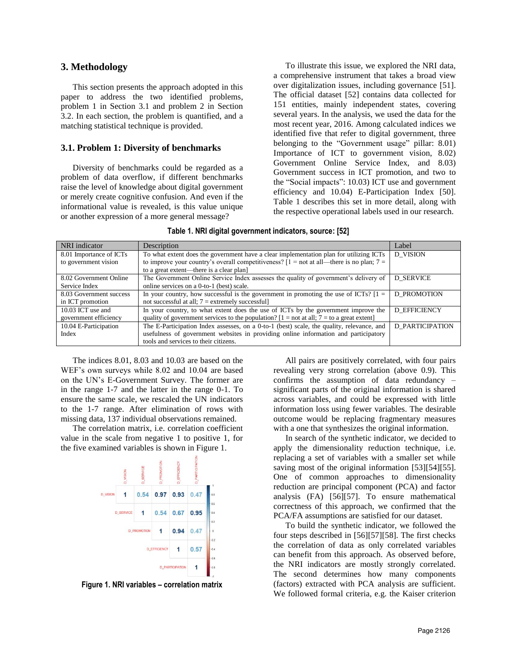### **3. Methodology**

This section presents the approach adopted in this paper to address the two identified problems, problem 1 in Section 3.1 and problem 2 in Section 3.2. In each section, the problem is quantified, and a matching statistical technique is provided.

#### **3.1. Problem 1: Diversity of benchmarks**

Diversity of benchmarks could be regarded as a problem of data overflow, if different benchmarks raise the level of knowledge about digital government or merely create cognitive confusion. And even if the informational value is revealed, is this value unique or another expression of a more general message?

To illustrate this issue, we explored the NRI data, a comprehensive instrument that takes a broad view over digitalization issues, including governance [51]. The official dataset [52] contains data collected for 151 entities, mainly independent states, covering several years. In the analysis, we used the data for the most recent year, 2016. Among calculated indices we identified five that refer to digital government, three belonging to the "Government usage" pillar: 8.01) Importance of ICT to government vision, 8.02) Government Online Service Index, and 8.03) Government success in ICT promotion, and two to the "Social impacts": 10.03) ICT use and government efficiency and 10.04) E-Participation Index [50]. Table 1 describes this set in more detail, along with the respective operational labels used in our research.

|  |  | Table 1. NRI digital government indicators, source: [52] |  |
|--|--|----------------------------------------------------------|--|
|--|--|----------------------------------------------------------|--|

| NRI indicator           | Description                                                                                           | Label                  |
|-------------------------|-------------------------------------------------------------------------------------------------------|------------------------|
| 8.01 Importance of ICTs | To what extent does the government have a clear implementation plan for utilizing ICTs                | <b>D</b> VISION        |
| to government vision    | to improve your country's overall competitiveness? $[1 = not at all]$ —there is no plan; $7 =$        |                        |
|                         | to a great extent—there is a clear plan]                                                              |                        |
| 8.02 Government Online  | The Government Online Service Index assesses the quality of government's delivery of                  | <b>D SERVICE</b>       |
| Service Index           | online services on a 0-to-1 (best) scale.                                                             |                        |
| 8.03 Government success | In your country, how successful is the government in promoting the use of ICTs? $[1 =$<br>D PROMOTION |                        |
| in ICT promotion        | not successful at all; $7 =$ extremely successful]                                                    |                        |
| 10.03 ICT use and       | In your country, to what extent does the use of ICTs by the government improve the                    | <b>D EFFICIENCY</b>    |
| government efficiency   | quality of government services to the population? $[1 = not at all; 7 = to a great extent]$           |                        |
| 10.04 E-Participation   | The E-Participation Index assesses, on a 0-to-1 (best) scale, the quality, relevance, and             | <b>D PARTICIPATION</b> |
| Index                   | usefulness of government websites in providing online information and participatory                   |                        |
|                         | tools and services to their citizens.                                                                 |                        |

The indices 8.01, 8.03 and 10.03 are based on the WEF's own surveys while 8.02 and 10.04 are based on the UN's E-Government Survey. The former are in the range 1-7 and the latter in the range 0-1. To ensure the same scale, we rescaled the UN indicators to the 1-7 range. After elimination of rows with missing data, 137 individual observations remained.

The correlation matrix, i.e. correlation coefficient value in the scale from negative 1 to positive 1, for the five examined variables is shown in Figure 1.



**Figure 1. NRI variables – correlation matrix**

All pairs are positively correlated, with four pairs revealing very strong correlation (above 0.9). This confirms the assumption of data redundancy – significant parts of the original information is shared across variables, and could be expressed with little information loss using fewer variables. The desirable outcome would be replacing fragmentary measures with a one that synthesizes the original information.

In search of the synthetic indicator, we decided to apply the dimensionality reduction technique, i.e. replacing a set of variables with a smaller set while saving most of the original information [53][54][55]. One of common approaches to dimensionality reduction are principal component (PCA) and factor analysis (FA) [56][57]. To ensure mathematical correctness of this approach, we confirmed that the PCA/FA assumptions are satisfied for our dataset.

To build the synthetic indicator, we followed the four steps described in [56][57][58]. The first checks the correlation of data as only correlated variables can benefit from this approach. As observed before, the NRI indicators are mostly strongly correlated. The second determines how many components (factors) extracted with PCA analysis are sufficient. We followed formal criteria, e.g. the Kaiser criterion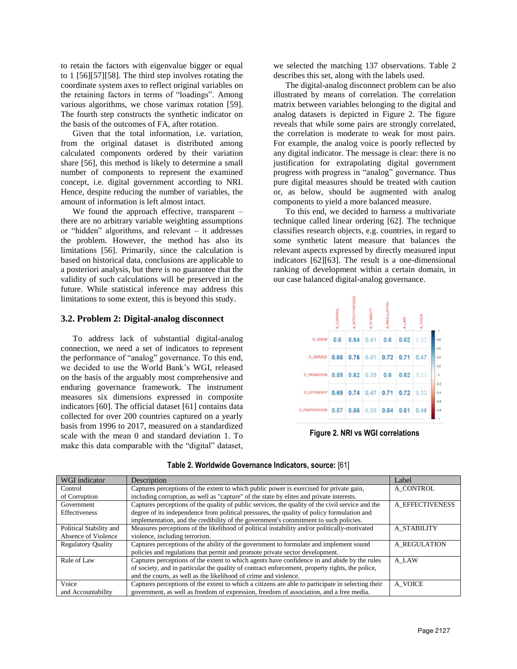to retain the factors with eigenvalue bigger or equal to 1 [56][57][58]. The third step involves rotating the coordinate system axes to reflect original variables on the retaining factors in terms of "loadings". Among various algorithms, we chose varimax rotation [59]. The fourth step constructs the synthetic indicator on the basis of the outcomes of FA, after rotation.

Given that the total information, i.e. variation, from the original dataset is distributed among calculated components ordered by their variation share [56], this method is likely to determine a small number of components to represent the examined concept, i.e. digital government according to NRI. Hence, despite reducing the number of variables, the amount of information is left almost intact.

We found the approach effective, transparent – there are no arbitrary variable weighting assumptions or "hidden" algorithms, and relevant – it addresses the problem. However, the method has also its limitations [56]. Primarily, since the calculation is based on historical data, conclusions are applicable to a posteriori analysis, but there is no guarantee that the validity of such calculations will be preserved in the future. While statistical inference may address this limitations to some extent, this is beyond this study.

#### **3.2. Problem 2: Digital-analog disconnect**

To address lack of substantial digital-analog connection, we need a set of indicators to represent the performance of "analog" governance. To this end, we decided to use the World Bank's WGI, released on the basis of the arguably most comprehensive and enduring governance framework. The instrument measures six dimensions expressed in composite indicators [60]. The official dataset [61] contains data collected for over 200 countries captured on a yearly basis from 1996 to 2017, measured on a standardized scale with the mean 0 and standard deviation 1. To make this data comparable with the "digital" dataset,

we selected the matching 137 observations. Table 2 describes this set, along with the labels used.

The digital-analog disconnect problem can be also illustrated by means of correlation. The correlation matrix between variables belonging to the digital and analog datasets is depicted in Figure 2. The figure reveals that while some pairs are strongly correlated, the correlation is moderate to weak for most pairs. For example, the analog voice is poorly reflected by any digital indicator. The message is clear: there is no justification for extrapolating digital government progress with progress in "analog" governance. Thus pure digital measures should be treated with caution or, as below, should be augmented with analog components to yield a more balanced measure.

To this end, we decided to harness a multivariate technique called linear ordering [62]. The technique classifies research objects, e.g. countries, in regard to some synthetic latent measure that balances the relevant aspects expressed by directly measured input indicators [62][63]. The result is a one-dimensional ranking of development within a certain domain, in our case balanced digital-analog governance.

|                        | <b>NATRO</b>  | EFFE | STABILITY         | REGUL | LAW  | VOICE |
|------------------------|---------------|------|-------------------|-------|------|-------|
| <b>D_VISION</b>        | $0.6^{\circ}$ | 0.64 | 0.41              | 0.6   | 0.62 | 0.22  |
| <b>D_SERVICE</b>       | 0.66          |      | $0.76 \quad 0.41$ | 0.72  | 0.71 | 0.47  |
| <b>D_PROMOTION</b>     | 0.59          | 0.62 | 0.39              | 0.6   | 0.62 | 0.23  |
| <b>D_EFFICIENCY</b>    | 0.69          | 0.74 | $0.47$ 0.71       |       | 0.72 | 0.33  |
| <b>D_PARTICIPATION</b> | 0.57          | 0.66 | 0.35              | 0.64  | 0.61 | 0.46  |

**Figure 2. NRI vs WGI correlations**

| WGI indicator             | Description                                                                                       | Label           |
|---------------------------|---------------------------------------------------------------------------------------------------|-----------------|
| Control                   | Captures perceptions of the extent to which public power is exercised for private gain,           | A CONTROL       |
| of Corruption             | including corruption, as well as "capture" of the state by elites and private interests.          |                 |
| Government                | Captures perceptions of the quality of public services, the quality of the civil service and the  | A EFFECTIVENESS |
| <b>Effectiveness</b>      | degree of its independence from political pressures, the quality of policy formulation and        |                 |
|                           | implementation, and the credibility of the government's commitment to such policies.              |                 |
| Political Stability and   | Measures perceptions of the likelihood of political instability and/or politically-motivated      | A STABILITY     |
| Absence of Violence       | violence, including terrorism.                                                                    |                 |
| <b>Regulatory Quality</b> | Captures perceptions of the ability of the government to formulate and implement sound            | A REGULATION    |
|                           | policies and regulations that permit and promote private sector development.                      |                 |
| Rule of Law               | Captures perceptions of the extent to which agents have confidence in and abide by the rules      | A LAW           |
|                           | of society, and in particular the quality of contract enforcement, property rights, the police,   |                 |
|                           | and the courts, as well as the likelihood of crime and violence.                                  |                 |
| Voice                     | Captures perceptions of the extent to which a citizens are able to participate in selecting their | A VOICE         |
| and Accountability        | government, as well as freedom of expression, freedom of association, and a free media.           |                 |

| Table 2. Worldwide Governance Indicators, source: [61] |  |  |  |  |
|--------------------------------------------------------|--|--|--|--|
|--------------------------------------------------------|--|--|--|--|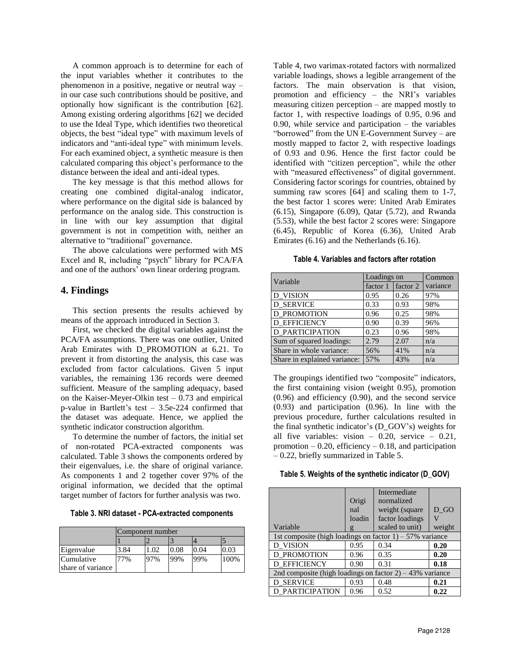A common approach is to determine for each of the input variables whether it contributes to the phenomenon in a positive, negative or neutral way – in our case such contributions should be positive, and optionally how significant is the contribution [62]. Among existing ordering algorithms [62] we decided to use the Ideal Type, which identifies two theoretical objects, the best "ideal type" with maximum levels of indicators and "anti-ideal type" with minimum levels. For each examined object, a synthetic measure is then calculated comparing this object's performance to the distance between the ideal and anti-ideal types.

The key message is that this method allows for creating one combined digital-analog indicator, where performance on the digital side is balanced by performance on the analog side. This construction is in line with our key assumption that digital government is not in competition with, neither an alternative to "traditional" governance.

The above calculations were performed with MS Excel and R, including "psych" library for PCA/FA and one of the authors' own linear ordering program.

### **4. Findings**

This section presents the results achieved by means of the approach introduced in Section 3.

First, we checked the digital variables against the PCA/FA assumptions. There was one outlier, United Arab Emirates with D\_PROMOTION at 6.21. To prevent it from distorting the analysis, this case was excluded from factor calculations. Given 5 input variables, the remaining 136 records were deemed sufficient. Measure of the sampling adequacy, based on the Kaiser-Meyer-Olkin test  $-0.73$  and empirical p-value in Bartlett's test – 3.5e-224 confirmed that the dataset was adequate. Hence, we applied the synthetic indicator construction algorithm.

To determine the number of factors, the initial set of non-rotated PCA-extracted components was calculated. Table 3 shows the components ordered by their eigenvalues, i.e. the share of original variance. As components 1 and 2 together cover 97% of the original information, we decided that the optimal target number of factors for further analysis was two.

| Table 3. NRI dataset - PCA-extracted components |  |  |
|-------------------------------------------------|--|--|
|-------------------------------------------------|--|--|

|                   | Component number |     |      |      |      |
|-------------------|------------------|-----|------|------|------|
|                   |                  |     |      |      |      |
| Eigenvalue        | 3.84             | .02 | 0.08 | 0.04 | 0.03 |
| Cumulative        | 7%               | 97% | 99%  | 99%  | 100% |
| share of variance |                  |     |      |      |      |

Table 4, two varimax-rotated factors with normalized variable loadings, shows a legible arrangement of the factors. The main observation is that vision, promotion and efficiency – the NRI's variables measuring citizen perception – are mapped mostly to factor 1, with respective loadings of 0.95, 0.96 and  $0.90$ , while service and participation – the variables "borrowed" from the UN E-Government Survey – are mostly mapped to factor 2, with respective loadings of 0.93 and 0.96. Hence the first factor could be identified with "citizen perception", while the other with "measured effectiveness" of digital government. Considering factor scorings for countries, obtained by summing raw scores [64] and scaling them to 1-7, the best factor 1 scores were: United Arab Emirates (6.15), Singapore (6.09), Qatar (5.72), and Rwanda (5.53), while the best factor 2 scores were: Singapore (6.45), Republic of Korea (6.36), United Arab Emirates (6.16) and the Netherlands (6.16).

**Table 4. Variables and factors after rotation**

| Variable                     | Loadings on | Common   |          |
|------------------------------|-------------|----------|----------|
|                              | factor 1    | factor 2 | variance |
| D VISION                     | 0.95        | 0.26     | 97%      |
| <b>D_SERVICE</b>             | 0.33        | 0.93     | 98%      |
| <b>D_PROMOTION</b>           | 0.96        | 0.25     | 98%      |
| <b>D_EFFICIENCY</b>          | 0.90        | 0.39     | 96%      |
| <b>D PARTICIPATION</b>       | 0.23        | 0.96     | 98%      |
| Sum of squared loadings:     | 2.79        | 2.07     | n/a      |
| Share in whole variance:     | 56%         | 41%      | n/a      |
| Share in explained variance: | 57%         | 43%      | n/a      |

The groupings identified two "composite" indicators, the first containing vision (weight 0.95), promotion (0.96) and efficiency (0.90), and the second service (0.93) and participation (0.96). In line with the previous procedure, further calculations resulted in the final synthetic indicator's (D\_GOV's) weights for all five variables: vision – 0.20, service – 0.21, promotion  $-0.20$ , efficiency  $-0.18$ , and participation – 0.22, briefly summarized in Table 5.

| Table 5. Weights of the synthetic indicator (D_GOV) |  |
|-----------------------------------------------------|--|
|                                                     |  |

|                                                             |              | Intermediate    |        |  |  |  |
|-------------------------------------------------------------|--------------|-----------------|--------|--|--|--|
|                                                             | Origi        | normalized      |        |  |  |  |
|                                                             | nal          | weight (square  | D GO   |  |  |  |
|                                                             | loadin       | factor loadings |        |  |  |  |
| Variable                                                    | $\mathbf{g}$ | scaled to unit) | weight |  |  |  |
| 1st composite (high loadings on factor $1$ ) – 57% variance |              |                 |        |  |  |  |
| D VISION                                                    | 0.95         | 0.34            | 0.20   |  |  |  |
| <b>D PROMOTION</b>                                          | 0.96         | 0.35            | 0.20   |  |  |  |
| <b>D EFFICIENCY</b>                                         | 0.90         | 0.31            | 0.18   |  |  |  |
| 2nd composite (high loadings on factor $2$ ) – 43% variance |              |                 |        |  |  |  |
| <b>D SERVICE</b>                                            | 0.93         | 0.48            | 0.21   |  |  |  |
| <b>D PARTICIPATION</b>                                      | 0.96         | 0.52            | 0.22   |  |  |  |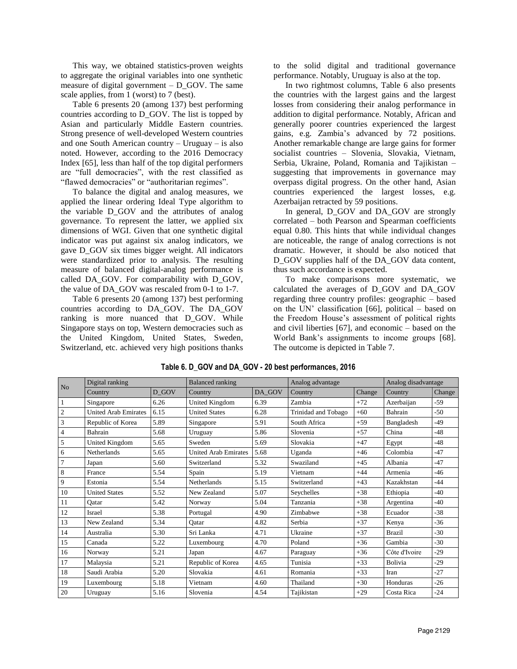This way, we obtained statistics-proven weights to aggregate the original variables into one synthetic measure of digital government  $-$  D\_GOV. The same scale applies, from 1 (worst) to 7 (best).

Table 6 presents 20 (among 137) best performing countries according to D\_GOV. The list is topped by Asian and particularly Middle Eastern countries. Strong presence of well-developed Western countries and one South American country – Uruguay – is also noted. However, according to the 2016 Democracy Index [65], less than half of the top digital performers are "full democracies", with the rest classified as "flawed democracies" or "authoritarian regimes".

To balance the digital and analog measures, we applied the linear ordering Ideal Type algorithm to the variable D\_GOV and the attributes of analog governance. To represent the latter, we applied six dimensions of WGI. Given that one synthetic digital indicator was put against six analog indicators, we gave D\_GOV six times bigger weight. All indicators were standardized prior to analysis. The resulting measure of balanced digital-analog performance is called DA\_GOV. For comparability with D\_GOV, the value of DA\_GOV was rescaled from 0-1 to 1-7.

Table 6 presents 20 (among 137) best performing countries according to DA\_GOV. The DA\_GOV ranking is more nuanced that D\_GOV. While Singapore stays on top, Western democracies such as the United Kingdom, United States, Sweden, Switzerland, etc. achieved very high positions thanks to the solid digital and traditional governance performance. Notably, Uruguay is also at the top.

In two rightmost columns, Table 6 also presents the countries with the largest gains and the largest losses from considering their analog performance in addition to digital performance. Notably, African and generally poorer countries experienced the largest gains, e.g. Zambia's advanced by 72 positions. Another remarkable change are large gains for former socialist countries – Slovenia, Slovakia, Vietnam, Serbia, Ukraine, Poland, Romania and Tajikistan – suggesting that improvements in governance may overpass digital progress. On the other hand, Asian countries experienced the largest losses, e.g. Azerbaijan retracted by 59 positions.

In general, D\_GOV and DA\_GOV are strongly correlated – both Pearson and Spearman coefficients equal 0.80. This hints that while individual changes are noticeable, the range of analog corrections is not dramatic. However, it should be also noticed that D\_GOV supplies half of the DA\_GOV data content, thus such accordance is expected.

To make comparisons more systematic, we calculated the averages of D\_GOV and DA\_GOV regarding three country profiles: geographic – based on the UN' classification [66], political – based on the Freedom House's assessment of political rights and civil liberties [67], and economic – based on the World Bank's assignments to income groups [68]. The outcome is depicted in Table 7.

| N <sub>o</sub> | Digital ranking             |       | <b>Balanced</b> ranking     |        | Analog advantage    |        | Analog disadvantage |        |
|----------------|-----------------------------|-------|-----------------------------|--------|---------------------|--------|---------------------|--------|
|                | Country                     | D GOV | Country                     | DA GOV | Country             | Change | Country             | Change |
| $\mathbf{1}$   | Singapore                   | 6.26  | United Kingdom              | 6.39   | Zambia              | $+72$  | Azerbaijan          | $-59$  |
| $\sqrt{2}$     | <b>United Arab Emirates</b> | 6.15  | <b>United States</b>        | 6.28   | Trinidad and Tobago | $+60$  | Bahrain             | $-50$  |
| $\overline{3}$ | Republic of Korea           | 5.89  | Singapore                   | 5.91   | South Africa        | $+59$  | Bangladesh          | $-49$  |
| $\overline{4}$ | <b>Bahrain</b>              | 5.68  | Uruguay                     | 5.86   | Slovenia            | $+57$  | China               | $-48$  |
| 5              | United Kingdom              | 5.65  | Sweden                      | 5.69   | Slovakia            | $+47$  | Egypt               | $-48$  |
| 6              | Netherlands                 | 5.65  | <b>United Arab Emirates</b> | 5.68   | Uganda              | $+46$  | Colombia            | $-47$  |
| $\overline{7}$ | Japan                       | 5.60  | Switzerland                 | 5.32   | Swaziland           | $+45$  | Albania             | $-47$  |
| $\,8\,$        | France                      | 5.54  | Spain                       | 5.19   | Vietnam             | $+44$  | Armenia             | $-46$  |
| 9              | Estonia                     | 5.54  | Netherlands                 | 5.15   | Switzerland         | $+43$  | Kazakhstan          | $-44$  |
| 10             | <b>United States</b>        | 5.52  | New Zealand                 | 5.07   | Seychelles          | $+38$  | Ethiopia            | $-40$  |
| 11             | Qatar                       | 5.42  | Norway                      | 5.04   | Tanzania            | $+38$  | Argentina           | $-40$  |
| 12             | Israel                      | 5.38  | Portugal                    | 4.90   | Zimbabwe            | $+38$  | Ecuador             | $-38$  |
| 13             | New Zealand                 | 5.34  | Oatar                       | 4.82   | Serbia              | $+37$  | Kenya               | $-36$  |
| 14             | Australia                   | 5.30  | Sri Lanka                   | 4.71   | Ukraine             | $+37$  | <b>Brazil</b>       | $-30$  |
| 15             | Canada                      | 5.22  | Luxembourg                  | 4.70   | Poland              | $+36$  | Gambia              | $-30$  |
| 16             | Norway                      | 5.21  | Japan                       | 4.67   | Paraguay            | $+36$  | Côte d'Ivoire       | $-29$  |
| 17             | Malaysia                    | 5.21  | Republic of Korea           | 4.65   | Tunisia             | $+33$  | Bolivia             | $-29$  |
| 18             | Saudi Arabia                | 5.20  | Slovakia                    | 4.61   | Romania             | $+33$  | Iran                | $-27$  |
| 19             | Luxembourg                  | 5.18  | Vietnam                     | 4.60   | Thailand            | $+30$  | Honduras            | $-26$  |
| 20             | Uruguay                     | 5.16  | Slovenia                    | 4.54   | Tajikistan          | $+29$  | Costa Rica          | $-24$  |

### **Table 6. D\_GOV and DA\_GOV - 20 best performances, 2016**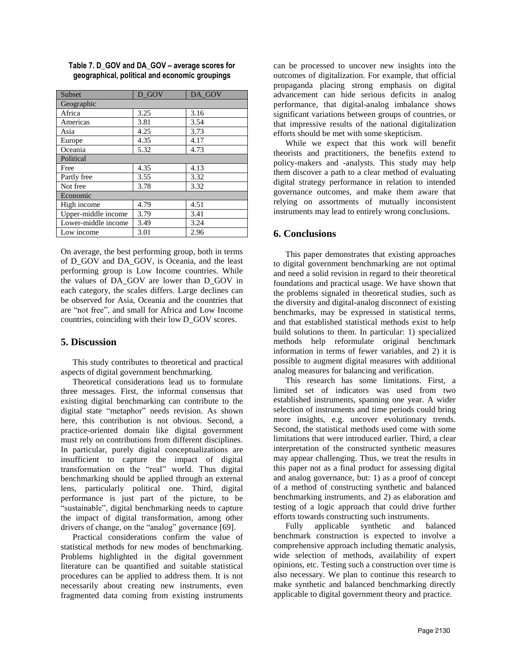| Subset              | D GOV | DA GOV |  |  |  |  |  |
|---------------------|-------|--------|--|--|--|--|--|
| Geographic          |       |        |  |  |  |  |  |
| Africa              | 3.25  | 3.16   |  |  |  |  |  |
| Americas            | 3.81  | 3.54   |  |  |  |  |  |
| Asia                | 4.25  | 3.73   |  |  |  |  |  |
| Europe              | 4.35  | 4.17   |  |  |  |  |  |
| Oceania             | 5.32  | 4.73   |  |  |  |  |  |
| Political           |       |        |  |  |  |  |  |
| Free                | 4.35  | 4.13   |  |  |  |  |  |
| Partly free         | 3.55  | 3.32   |  |  |  |  |  |
| Not free            | 3.78  | 3.32   |  |  |  |  |  |
| Economic            |       |        |  |  |  |  |  |
| High income         | 4.79  | 4.51   |  |  |  |  |  |
| Upper-middle income | 3.79  | 3.41   |  |  |  |  |  |
| Lower-middle income | 3.49  | 3.24   |  |  |  |  |  |
| Low income          | 3.01  | 2.96   |  |  |  |  |  |

**Table 7. D\_GOV and DA\_GOV – average scores for geographical, political and economic groupings**

On average, the best performing group, both in terms of D\_GOV and DA\_GOV, is Oceania, and the least performing group is Low Income countries. While the values of DA\_GOV are lower than D\_GOV in each category, the scales differs. Large declines can be observed for Asia, Oceania and the countries that are "not free", and small for Africa and Low Income countries, coinciding with their low D\_GOV scores.

### **5. Discussion**

This study contributes to theoretical and practical aspects of digital government benchmarking.

Theoretical considerations lead us to formulate three messages. First, the informal consensus that existing digital benchmarking can contribute to the digital state "metaphor" needs revision. As shown here, this contribution is not obvious. Second, a practice-oriented domain like digital government must rely on contributions from different disciplines. In particular, purely digital conceptualizations are insufficient to capture the impact of digital transformation on the "real" world. Thus digital benchmarking should be applied through an external lens, particularly political one. Third, digital performance is just part of the picture, to be "sustainable", digital benchmarking needs to capture the impact of digital transformation, among other drivers of change, on the "analog" governance [69].

Practical considerations confirm the value of statistical methods for new modes of benchmarking. Problems highlighted in the digital government literature can be quantified and suitable statistical procedures can be applied to address them. It is not necessarily about creating new instruments, even fragmented data coming from existing instruments can be processed to uncover new insights into the outcomes of digitalization. For example, that official propaganda placing strong emphasis on digital advancement can hide serious deficits in analog performance, that digital-analog imbalance shows significant variations between groups of countries, or that impressive results of the national digitalization efforts should be met with some skepticism.

While we expect that this work will benefit theorists and practitioners, the benefits extend to policy-makers and -analysts. This study may help them discover a path to a clear method of evaluating digital strategy performance in relation to intended governance outcomes, and make them aware that relying on assortments of mutually inconsistent instruments may lead to entirely wrong conclusions.

### **6. Conclusions**

This paper demonstrates that existing approaches to digital government benchmarking are not optimal and need a solid revision in regard to their theoretical foundations and practical usage. We have shown that the problems signaled in theoretical studies, such as the diversity and digital-analog disconnect of existing benchmarks, may be expressed in statistical terms, and that established statistical methods exist to help build solutions to them. In particular: 1) specialized methods help reformulate original benchmark information in terms of fewer variables, and 2) it is possible to augment digital measures with additional analog measures for balancing and verification.

This research has some limitations. First, a limited set of indicators was used from two established instruments, spanning one year. A wider selection of instruments and time periods could bring more insights, e.g. uncover evolutionary trends. Second, the statistical methods used come with some limitations that were introduced earlier. Third, a clear interpretation of the constructed synthetic measures may appear challenging. Thus, we treat the results in this paper not as a final product for assessing digital and analog governance, but: 1) as a proof of concept of a method of constructing synthetic and balanced benchmarking instruments, and 2) as elaboration and testing of a logic approach that could drive further efforts towards constructing such instruments.

Fully applicable synthetic and balanced benchmark construction is expected to involve a comprehensive approach including thematic analysis, wide selection of methods, availability of expert opinions, etc. Testing such a construction over time is also necessary. We plan to continue this research to make synthetic and balanced benchmarking directly applicable to digital government theory and practice.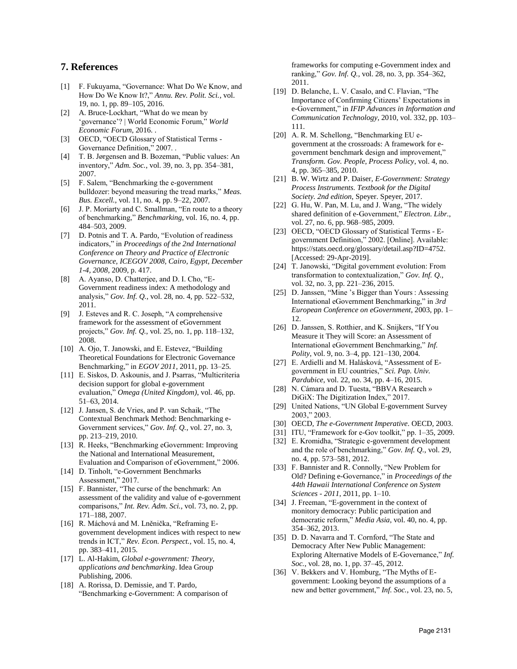### **7. References**

- [1] F. Fukuyama, "Governance: What Do We Know, and How Do We Know It?," *Annu. Rev. Polit. Sci.*, vol. 19, no. 1, pp. 89–105, 2016.
- [2] A. Bruce-Lockhart, "What do we mean by 'governance'? | World Economic Forum," *World Economic Forum*, 2016. .
- [3] OECD, "OECD Glossary of Statistical Terms Governance Definition," 2007. .
- [4] T. B. Jørgensen and B. Bozeman, "Public values: An inventory," *Adm. Soc.*, vol. 39, no. 3, pp. 354–381, 2007.
- [5] F. Salem, "Benchmarking the e-government bulldozer: beyond measuring the tread marks," *Meas. Bus. Excell.*, vol. 11, no. 4, pp. 9–22, 2007.
- [6] J. P. Moriarty and C. Smallman, "En route to a theory of benchmarking," *Benchmarking*, vol. 16, no. 4, pp. 484–503, 2009.
- [7] D. Potnis and T. A. Pardo, "Evolution of readiness" indicators," in *Proceedings of the 2nd International Conference on Theory and Practice of Electronic Governance, ICEGOV 2008, Cairo, Egypt, December 1-4, 2008*, 2009, p. 417.
- [8] A. Ayanso, D. Chatterjee, and D. I. Cho, "E-Government readiness index: A methodology and analysis," *Gov. Inf. Q.*, vol. 28, no. 4, pp. 522–532, 2011.
- [9] J. Esteves and R. C. Joseph, "A comprehensive framework for the assessment of eGovernment projects," *Gov. Inf. Q.*, vol. 25, no. 1, pp. 118–132, 2008.
- [10] A. Ojo, T. Janowski, and E. Estevez, "Building Theoretical Foundations for Electronic Governance Benchmarking," in *EGOV 2011*, 2011, pp. 13–25.
- [11] E. Siskos, D. Askounis, and J. Psarras, "Multicriteria decision support for global e-government evaluation," *Omega (United Kingdom)*, vol. 46, pp. 51–63, 2014.
- [12] J. Jansen, S. de Vries, and P. van Schaik, "The Contextual Benchmark Method: Benchmarking e-Government services," *Gov. Inf. Q.*, vol. 27, no. 3, pp. 213–219, 2010.
- [13] R. Heeks, "Benchmarking eGovernment: Improving the National and International Measurement, Evaluation and Comparison of eGovernment," 2006.
- [14] D. Tinholt, "e-Government Benchmarks" Assessment," 2017.
- [15] F. Bannister, "The curse of the benchmark: An assessment of the validity and value of e-government comparisons," *Int. Rev. Adm. Sci.*, vol. 73, no. 2, pp. 171–188, 2007.
- [16] R. Máchová and M. Lněnička, "Reframing Egovernment development indices with respect to new trends in ICT," *Rev. Econ. Perspect.*, vol. 15, no. 4, pp. 383–411, 2015.
- [17] L. Al-Hakim, *Global e-government: Theory, applications and benchmarking*. Idea Group Publishing, 2006.
- [18] A. Rorissa, D. Demissie, and T. Pardo, "Benchmarking e-Government: A comparison of

frameworks for computing e-Government index and ranking," *Gov. Inf. Q.*, vol. 28, no. 3, pp. 354–362, 2011.

- [19] D. Belanche, L. V. Casalo, and C. Flavian, "The Importance of Confirming Citizens' Expectations in e-Government," in *IFIP Advances in Information and Communication Technology*, 2010, vol. 332, pp. 103– 111.
- [20] A. R. M. Schellong, "Benchmarking EU egovernment at the crossroads: A framework for egovernment benchmark design and improvement," *Transform. Gov. People, Process Policy*, vol. 4, no. 4, pp. 365–385, 2010.
- [21] B. W. Wirtz and P. Daiser, *E-Government: Strategy Process Instruments. Textbook for the Digital Society. 2nd edition*, Speyer. Speyer, 2017.
- [22] G. Hu, W. Pan, M. Lu, and J. Wang, "The widely shared definition of e‐Government," *Electron. Libr.*, vol. 27, no. 6, pp. 968–985, 2009.
- [23] OECD, "OECD Glossary of Statistical Terms Egovernment Definition," 2002. [Online]. Available: https://stats.oecd.org/glossary/detail.asp?ID=4752. [Accessed: 29-Apr-2019].
- [24] T. Janowski, "Digital government evolution: From transformation to contextualization," *Gov. Inf. Q.*, vol. 32, no. 3, pp. 221–236, 2015.
- [25] D. Janssen, "Mine 's Bigger than Yours : Assessing International eGovernment Benchmarking," in *3rd European Conference on eGovernment*, 2003, pp. 1– 12.
- [26] D. Janssen, S. Rotthier, and K. Snijkers, "If You Measure it They will Score: an Assessment of International eGovernment Benchmarking," *Inf. Polity*, vol. 9, no. 3–4, pp. 121–130, 2004.
- [27] E. Ardielli and M. Halásková, "Assessment of Egovernment in EU countries," *Sci. Pap. Univ. Pardubice*, vol. 22, no. 34, pp. 4–16, 2015.
- [28] N. Cámara and D. Tuesta, "BBVA Research » DiGiX: The Digitization Index," 2017.
- [29] United Nations, "UN Global E-government Survey 2003," 2003.
- [30] OECD, *The e-Government Imperative*. OECD, 2003.
- [31] ITU, "Framework for e-Gov toolkit," pp. 1-35, 2009.
- [32] E. Kromidha, "Strategic e-government development and the role of benchmarking," *Gov. Inf. Q.*, vol. 29, no. 4, pp. 573–581, 2012.
- [33] F. Bannister and R. Connolly, "New Problem for Old? Defining e-Governance," in *Proceedings of the 44th Hawaii International Conference on System Sciences - 2011*, 2011, pp. 1–10.
- [34] J. Freeman, "E-government in the context of monitory democracy: Public participation and democratic reform," *Media Asia*, vol. 40, no. 4, pp. 354–362, 2013.
- [35] D. D. Navarra and T. Cornford, "The State and Democracy After New Public Management: Exploring Alternative Models of E-Governance," *Inf. Soc.*, vol. 28, no. 1, pp. 37–45, 2012.
- [36] V. Bekkers and V. Homburg, "The Myths of Egovernment: Looking beyond the assumptions of a new and better government," *Inf. Soc.*, vol. 23, no. 5,